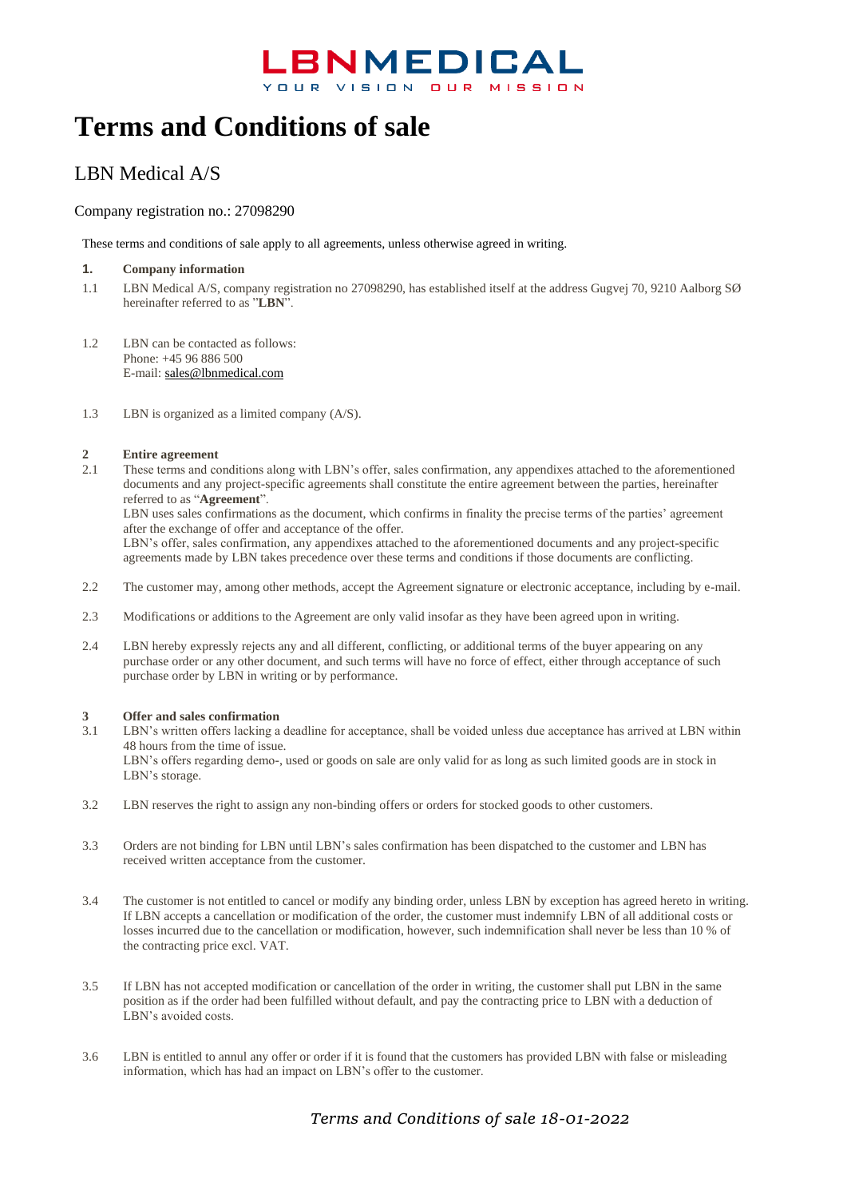# **Terms and Conditions of sale**

### LBN Medical A/S

#### Company registration no.: 27098290

These terms and conditions of sale apply to all agreements, unless otherwise agreed in writing.

#### **1. Company information**

- 1.1 LBN Medical A/S, company registration no 27098290, has established itself at the address Gugvej 70, 9210 Aalborg SØ hereinafter referred to as "**LBN**".
- 1.2 LBN can be contacted as follows: Phone: +45 96 886 500 E-mail: [sales@lbnmedical.com](mailto:sales@lbnmedical.com)
- 1.3 LBN is organized as a limited company (A/S).

#### **2 Entire agreement**

2.1 These terms and conditions along with LBN's offer, sales confirmation, any appendixes attached to the aforementioned documents and any project-specific agreements shall constitute the entire agreement between the parties, hereinafter referred to as "**Agreement**".

LBN uses sales confirmations as the document, which confirms in finality the precise terms of the parties' agreement after the exchange of offer and acceptance of the offer.

LBN's offer, sales confirmation, any appendixes attached to the aforementioned documents and any project-specific agreements made by LBN takes precedence over these terms and conditions if those documents are conflicting.

- 2.2 The customer may, among other methods, accept the Agreement signature or electronic acceptance, including by e-mail.
- 2.3 Modifications or additions to the Agreement are only valid insofar as they have been agreed upon in writing.
- 2.4 LBN hereby expressly rejects any and all different, conflicting, or additional terms of the buyer appearing on any purchase order or any other document, and such terms will have no force of effect, either through acceptance of such purchase order by LBN in writing or by performance.

### **3 Offer and sales confirmation**<br>**3.1 LBN's written offers lacking a**

- LBN's written offers lacking a deadline for acceptance, shall be voided unless due acceptance has arrived at LBN within 48 hours from the time of issue. LBN's offers regarding demo-, used or goods on sale are only valid for as long as such limited goods are in stock in LBN's storage.
- 3.2 LBN reserves the right to assign any non-binding offers or orders for stocked goods to other customers.
- 3.3 Orders are not binding for LBN until LBN's sales confirmation has been dispatched to the customer and LBN has received written acceptance from the customer.
- 3.4 The customer is not entitled to cancel or modify any binding order, unless LBN by exception has agreed hereto in writing. If LBN accepts a cancellation or modification of the order, the customer must indemnify LBN of all additional costs or losses incurred due to the cancellation or modification, however, such indemnification shall never be less than 10 % of the contracting price excl. VAT.
- 3.5 If LBN has not accepted modification or cancellation of the order in writing, the customer shall put LBN in the same position as if the order had been fulfilled without default, and pay the contracting price to LBN with a deduction of LBN's avoided costs.
- 3.6 LBN is entitled to annul any offer or order if it is found that the customers has provided LBN with false or misleading information, which has had an impact on LBN's offer to the customer.

### *Terms and Conditions of sale 18-01-2022*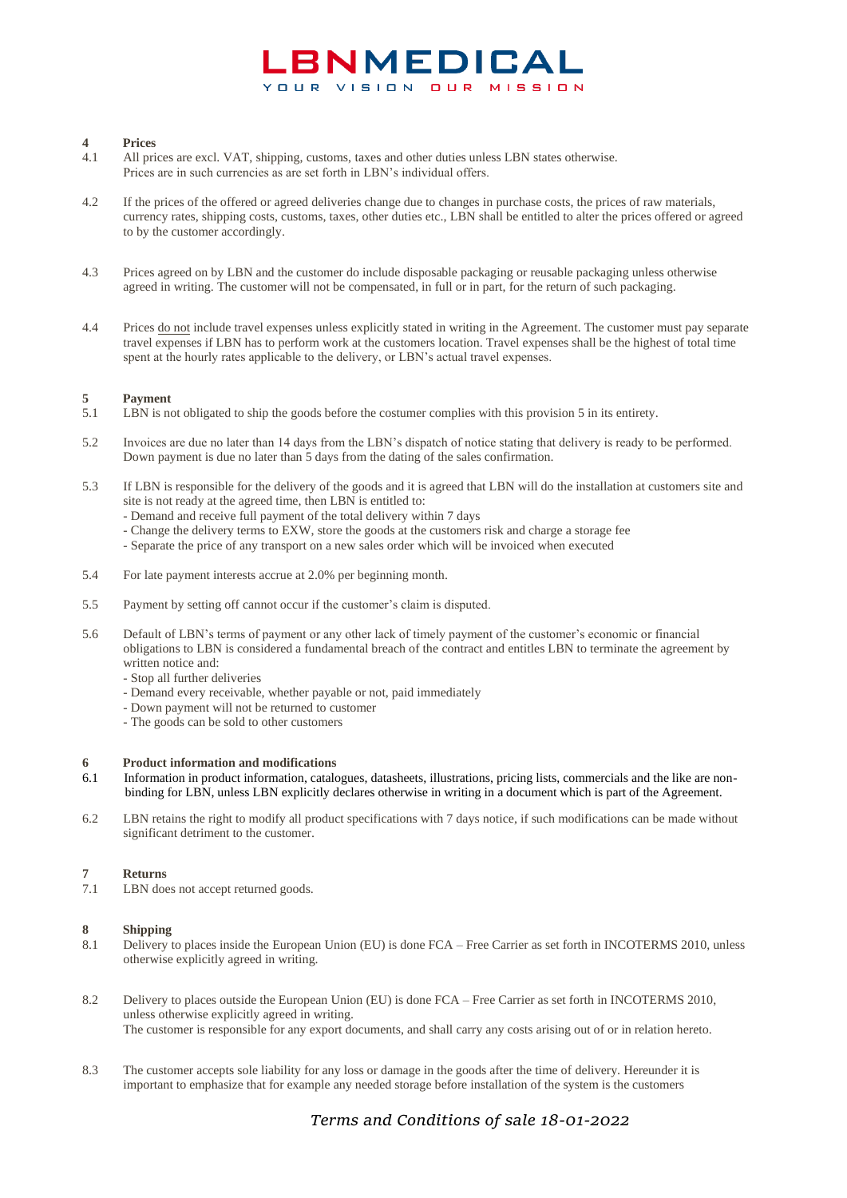#### **4 Prices**

- 4.1 All prices are excl. VAT, shipping, customs, taxes and other duties unless LBN states otherwise. Prices are in such currencies as are set forth in LBN's individual offers.
- 4.2 If the prices of the offered or agreed deliveries change due to changes in purchase costs, the prices of raw materials, currency rates, shipping costs, customs, taxes, other duties etc., LBN shall be entitled to alter the prices offered or agreed to by the customer accordingly.
- 4.3 Prices agreed on by LBN and the customer do include disposable packaging or reusable packaging unless otherwise agreed in writing. The customer will not be compensated, in full or in part, for the return of such packaging.
- 4.4 Prices do not include travel expenses unless explicitly stated in writing in the Agreement. The customer must pay separate travel expenses if LBN has to perform work at the customers location. Travel expenses shall be the highest of total time spent at the hourly rates applicable to the delivery, or LBN's actual travel expenses.

## <span id="page-1-0"></span>5.1 **Payment**<br>5.1 **LBN** is no

- LBN is not obligated to ship the goods before the costumer complies with this provision [5](#page-1-0) in its entirety.
- 5.2 Invoices are due no later than 14 days from the LBN's dispatch of notice stating that delivery is ready to be performed. Down payment is due no later than 5 days from the dating of the sales confirmation.
- 5.3 If LBN is responsible for the delivery of the goods and it is agreed that LBN will do the installation at customers site and site is not ready at the agreed time, then LBN is entitled to:
	- Demand and receive full payment of the total delivery within 7 days
	- Change the delivery terms to EXW, store the goods at the customers risk and charge a storage fee
	- Separate the price of any transport on a new sales order which will be invoiced when executed
- 5.4 For late payment interests accrue at 2.0% per beginning month.
- 5.5 Payment by setting off cannot occur if the customer's claim is disputed.
- 5.6 Default of LBN's terms of payment or any other lack of timely payment of the customer's economic or financial obligations to LBN is considered a fundamental breach of the contract and entitles LBN to terminate the agreement by written notice and:
	- Stop all further deliveries
	- Demand every receivable, whether payable or not, paid immediately
	- Down payment will not be returned to customer
	- The goods can be sold to other customers

#### **6 Product information and modifications**

- 6.1 Information in product information, catalogues, datasheets, illustrations, pricing lists, commercials and the like are nonbinding for LBN, unless LBN explicitly declares otherwise in writing in a document which is part of the Agreement.
- 6.2 LBN retains the right to modify all product specifications with 7 days notice, if such modifications can be made without significant detriment to the customer.

#### **7 Returns**

7.1 LBN does not accept returned goods.

### 8 **Shipping**<br>8.1 Delivery 1

- 8.1 Delivery to places inside the European Union (EU) is done FCA Free Carrier as set forth in INCOTERMS 2010, unless otherwise explicitly agreed in writing.
- 8.2 Delivery to places outside the European Union (EU) is done FCA Free Carrier as set forth in INCOTERMS 2010, unless otherwise explicitly agreed in writing. The customer is responsible for any export documents, and shall carry any costs arising out of or in relation hereto.
- 8.3 The customer accepts sole liability for any loss or damage in the goods after the time of delivery. Hereunder it is important to emphasize that for example any needed storage before installation of the system is the customers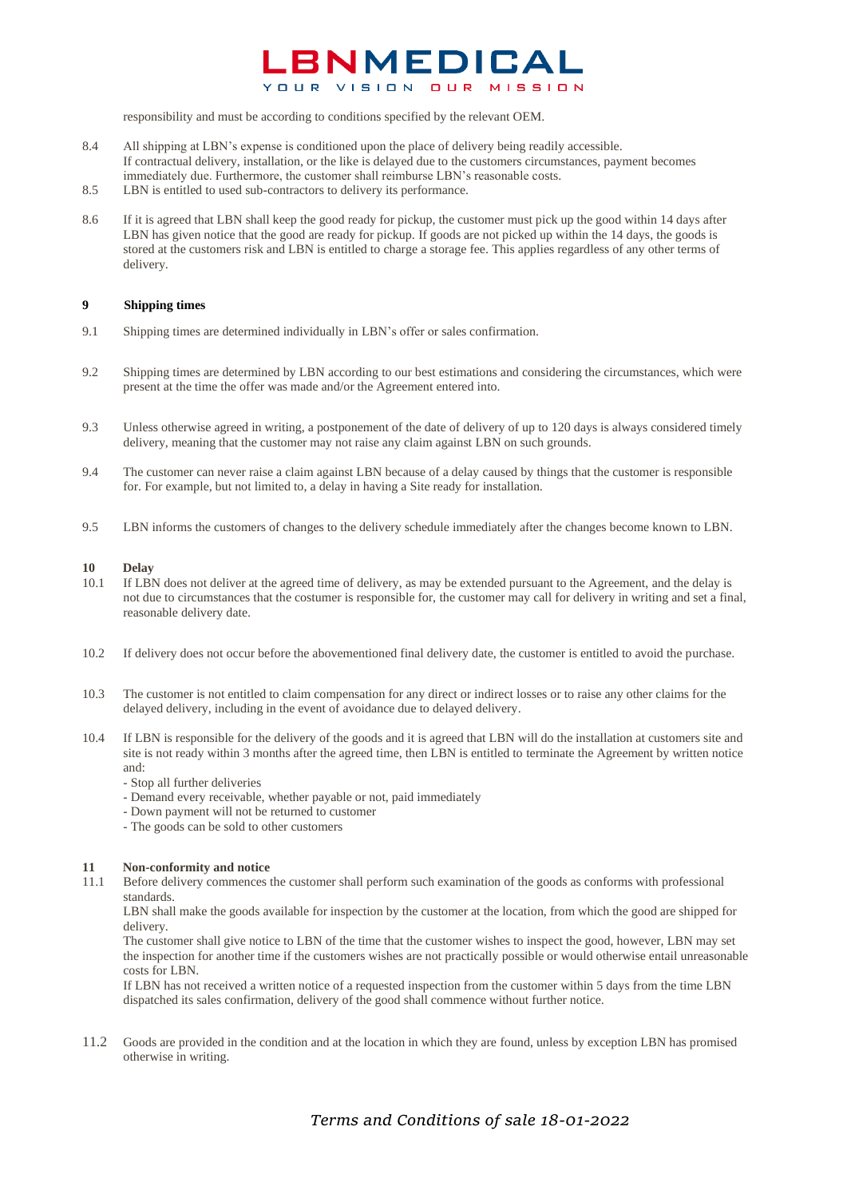responsibility and must be according to conditions specified by the relevant OEM.

- 8.4 All shipping at LBN's expense is conditioned upon the place of delivery being readily accessible. If contractual delivery, installation, or the like is delayed due to the customers circumstances, payment becomes immediately due. Furthermore, the customer shall reimburse LBN's reasonable costs.
- 8.5 LBN is entitled to used sub-contractors to delivery its performance.
- 8.6 If it is agreed that LBN shall keep the good ready for pickup, the customer must pick up the good within 14 days after LBN has given notice that the good are ready for pickup. If goods are not picked up within the 14 days, the goods is stored at the customers risk and LBN is entitled to charge a storage fee. This applies regardless of any other terms of delivery.

#### **9 Shipping times**

- 9.1 Shipping times are determined individually in LBN's offer or sales confirmation.
- 9.2 Shipping times are determined by LBN according to our best estimations and considering the circumstances, which were present at the time the offer was made and/or the Agreement entered into.
- 9.3 Unless otherwise agreed in writing, a postponement of the date of delivery of up to 120 days is always considered timely delivery, meaning that the customer may not raise any claim against LBN on such grounds.
- 9.4 The customer can never raise a claim against LBN because of a delay caused by things that the customer is responsible for. For example, but not limited to, a delay in having a Site ready for installation.
- 9.5 LBN informs the customers of changes to the delivery schedule immediately after the changes become known to LBN.

#### **10 Delay**

- 10.1 If LBN does not deliver at the agreed time of delivery, as may be extended pursuant to the Agreement, and the delay is not due to circumstances that the costumer is responsible for, the customer may call for delivery in writing and set a final, reasonable delivery date.
- 10.2 If delivery does not occur before the abovementioned final delivery date, the customer is entitled to avoid the purchase.
- 10.3 The customer is not entitled to claim compensation for any direct or indirect losses or to raise any other claims for the delayed delivery, including in the event of avoidance due to delayed delivery.
- 10.4 If LBN is responsible for the delivery of the goods and it is agreed that LBN will do the installation at customers site and site is not ready within 3 months after the agreed time, then LBN is entitled to terminate the Agreement by written notice and:
	- Stop all further deliveries
	- Demand every receivable, whether payable or not, paid immediately
	- Down payment will not be returned to customer
	- The goods can be sold to other customers

#### **11 Non-conformity and notice**

11.1 Before delivery commences the customer shall perform such examination of the goods as conforms with professional standards.

LBN shall make the goods available for inspection by the customer at the location, from which the good are shipped for delivery.

The customer shall give notice to LBN of the time that the customer wishes to inspect the good, however, LBN may set the inspection for another time if the customers wishes are not practically possible or would otherwise entail unreasonable costs for LBN.

If LBN has not received a written notice of a requested inspection from the customer within 5 days from the time LBN dispatched its sales confirmation, delivery of the good shall commence without further notice.

11.2 Goods are provided in the condition and at the location in which they are found, unless by exception LBN has promised otherwise in writing.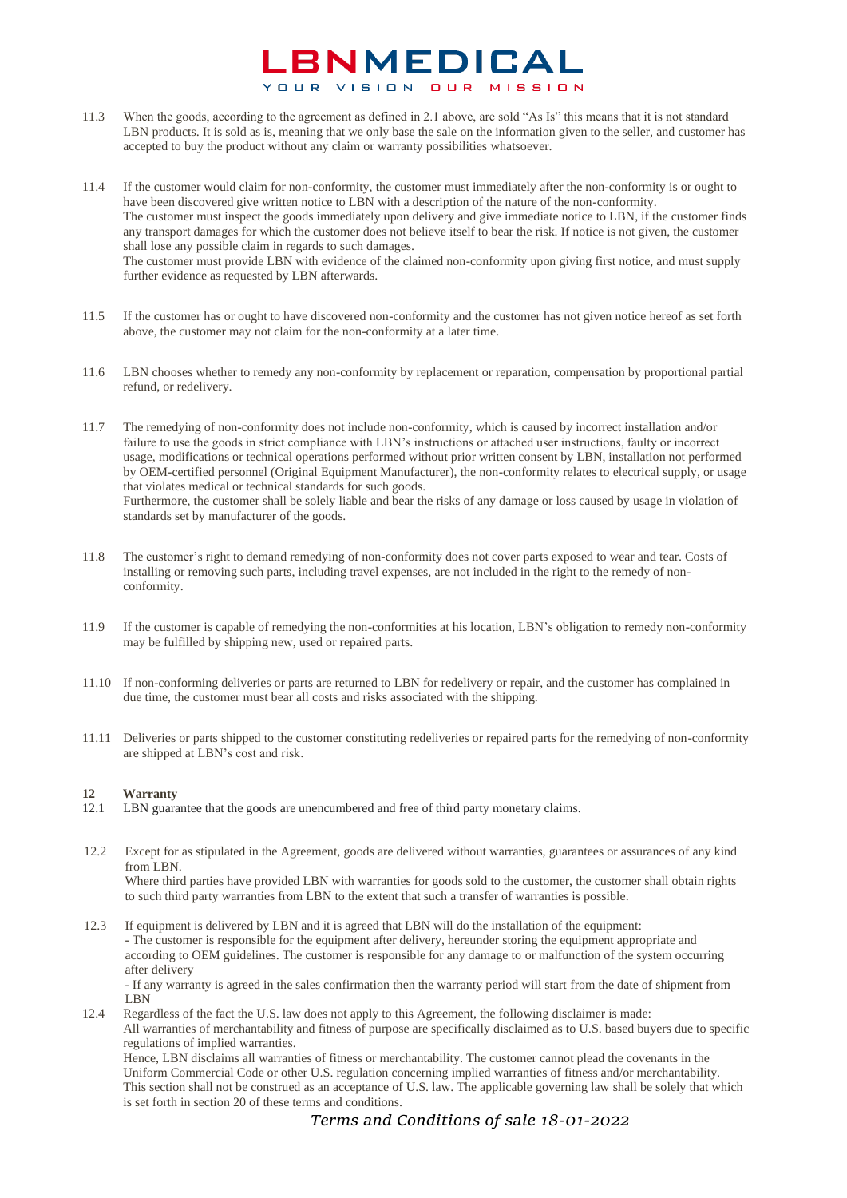- 11.3 When the goods, according to the agreement as defined in 2.1 above, are sold "As Is" this means that it is not standard LBN products. It is sold as is, meaning that we only base the sale on the information given to the seller, and customer has accepted to buy the product without any claim or warranty possibilities whatsoever.
- 11.4 If the customer would claim for non-conformity, the customer must immediately after the non-conformity is or ought to have been discovered give written notice to LBN with a description of the nature of the non-conformity. The customer must inspect the goods immediately upon delivery and give immediate notice to LBN, if the customer finds any transport damages for which the customer does not believe itself to bear the risk. If notice is not given, the customer shall lose any possible claim in regards to such damages. The customer must provide LBN with evidence of the claimed non-conformity upon giving first notice, and must supply further evidence as requested by LBN afterwards.
- 11.5 If the customer has or ought to have discovered non-conformity and the customer has not given notice hereof as set forth above, the customer may not claim for the non-conformity at a later time.
- 11.6 LBN chooses whether to remedy any non-conformity by replacement or reparation, compensation by proportional partial refund, or redelivery.
- 11.7 The remedying of non-conformity does not include non-conformity, which is caused by incorrect installation and/or failure to use the goods in strict compliance with LBN's instructions or attached user instructions, faulty or incorrect usage, modifications or technical operations performed without prior written consent by LBN, installation not performed by OEM-certified personnel (Original Equipment Manufacturer), the non-conformity relates to electrical supply, or usage that violates medical or technical standards for such goods. Furthermore, the customer shall be solely liable and bear the risks of any damage or loss caused by usage in violation of standards set by manufacturer of the goods.
- 11.8 The customer's right to demand remedying of non-conformity does not cover parts exposed to wear and tear. Costs of installing or removing such parts, including travel expenses, are not included in the right to the remedy of nonconformity.
- 11.9 If the customer is capable of remedying the non-conformities at his location, LBN's obligation to remedy non-conformity may be fulfilled by shipping new, used or repaired parts.
- 11.10 If non-conforming deliveries or parts are returned to LBN for redelivery or repair, and the customer has complained in due time, the customer must bear all costs and risks associated with the shipping.
- 11.11 Deliveries or parts shipped to the customer constituting redeliveries or repaired parts for the remedying of non-conformity are shipped at LBN's cost and risk.

### **12 Warranty**

- LBN guarantee that the goods are unencumbered and free of third party monetary claims.
- 12.2 Except for as stipulated in the Agreement, goods are delivered without warranties, guarantees or assurances of any kind from LBN. Where third parties have provided LBN with warranties for goods sold to the customer, the customer shall obtain rights to such third party warranties from LBN to the extent that such a transfer of warranties is possible.
- 12.3 If equipment is delivered by LBN and it is agreed that LBN will do the installation of the equipment: - The customer is responsible for the equipment after delivery, hereunder storing the equipment appropriate and according to OEM guidelines. The customer is responsible for any damage to or malfunction of the system occurring after delivery

- If any warranty is agreed in the sales confirmation then the warranty period will start from the date of shipment from LBN

12.4 Regardless of the fact the U.S. law does not apply to this Agreement, the following disclaimer is made: All warranties of merchantability and fitness of purpose are specifically disclaimed as to U.S. based buyers due to specific regulations of implied warranties.

Hence, LBN disclaims all warranties of fitness or merchantability. The customer cannot plead the covenants in the Uniform Commercial Code or other U.S. regulation concerning implied warranties of fitness and/or merchantability. This section shall not be construed as an acceptance of U.S. law. The applicable governing law shall be solely that which is set forth in section [20](#page-5-0) of these terms and conditions.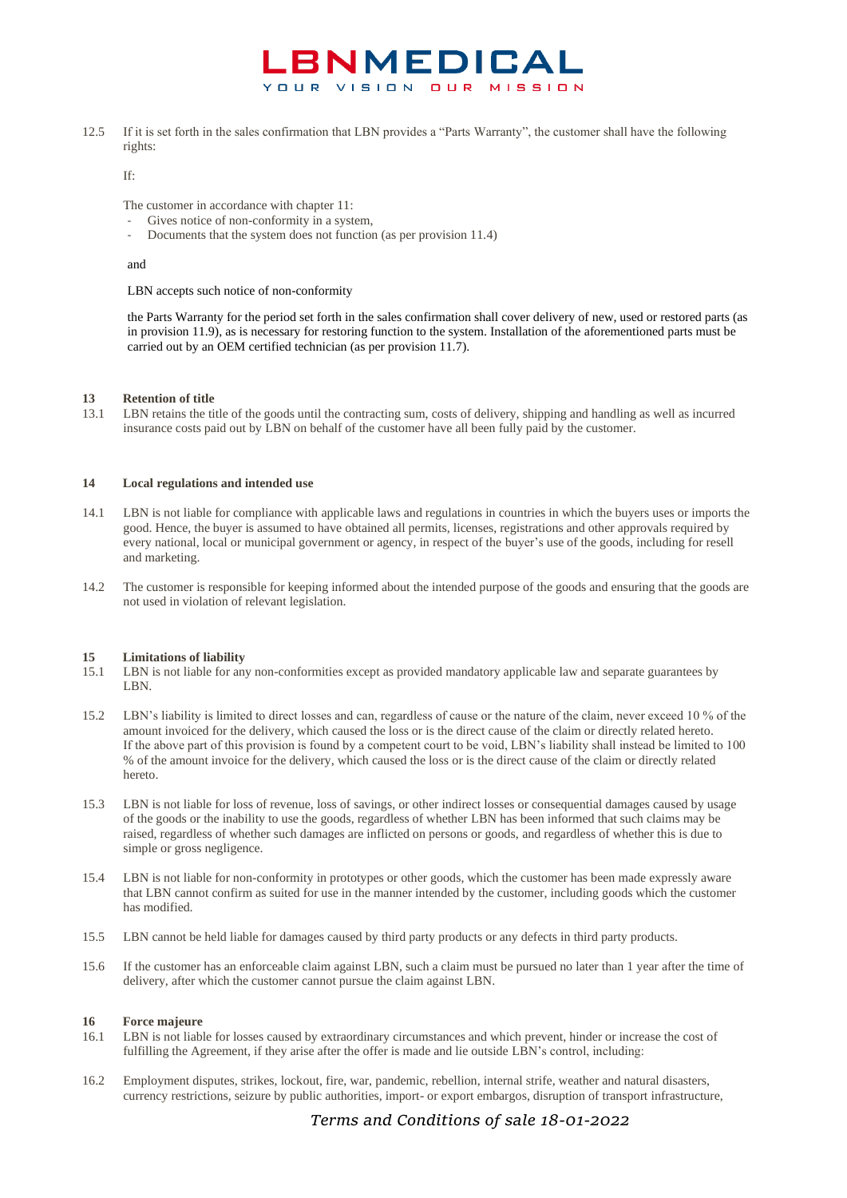12.5 If it is set forth in the sales confirmation that LBN provides a "Parts Warranty", the customer shall have the following rights:

If:

The customer in accordance with chapter 11:

- Gives notice of non-conformity in a system,
- Documents that the system does not function (as per provision 11.4)

and

LBN accepts such notice of non-conformity

the Parts Warranty for the period set forth in the sales confirmation shall cover delivery of new, used or restored parts (as in provision 11.9), as is necessary for restoring function to the system. Installation of the aforementioned parts must be carried out by an OEM certified technician (as per provision 11.7).

#### **13 Retention of title**

13.1 LBN retains the title of the goods until the contracting sum, costs of delivery, shipping and handling as well as incurred insurance costs paid out by LBN on behalf of the customer have all been fully paid by the customer.

#### **14 Local regulations and intended use**

- 14.1 LBN is not liable for compliance with applicable laws and regulations in countries in which the buyers uses or imports the good. Hence, the buyer is assumed to have obtained all permits, licenses, registrations and other approvals required by every national, local or municipal government or agency, in respect of the buyer's use of the goods, including for resell and marketing.
- 14.2 The customer is responsible for keeping informed about the intended purpose of the goods and ensuring that the goods are not used in violation of relevant legislation.

#### **15 Limitations of liability**

- 15.1 LBN is not liable for any non-conformities except as provided mandatory applicable law and separate guarantees by LBN.
- 15.2 LBN's liability is limited to direct losses and can, regardless of cause or the nature of the claim, never exceed 10 % of the amount invoiced for the delivery, which caused the loss or is the direct cause of the claim or directly related hereto. If the above part of this provision is found by a competent court to be void, LBN's liability shall instead be limited to 100 % of the amount invoice for the delivery, which caused the loss or is the direct cause of the claim or directly related hereto.
- 15.3 LBN is not liable for loss of revenue, loss of savings, or other indirect losses or consequential damages caused by usage of the goods or the inability to use the goods, regardless of whether LBN has been informed that such claims may be raised, regardless of whether such damages are inflicted on persons or goods, and regardless of whether this is due to simple or gross negligence.
- 15.4 LBN is not liable for non-conformity in prototypes or other goods, which the customer has been made expressly aware that LBN cannot confirm as suited for use in the manner intended by the customer, including goods which the customer has modified.
- 15.5 LBN cannot be held liable for damages caused by third party products or any defects in third party products.
- 15.6 If the customer has an enforceable claim against LBN, such a claim must be pursued no later than 1 year after the time of delivery, after which the customer cannot pursue the claim against LBN.

#### **16 Force majeure**

- 16.1 LBN is not liable for losses caused by extraordinary circumstances and which prevent, hinder or increase the cost of fulfilling the Agreement, if they arise after the offer is made and lie outside LBN's control, including:
- 16.2 Employment disputes, strikes, lockout, fire, war, pandemic, rebellion, internal strife, weather and natural disasters, currency restrictions, seizure by public authorities, import- or export embargos, disruption of transport infrastructure,